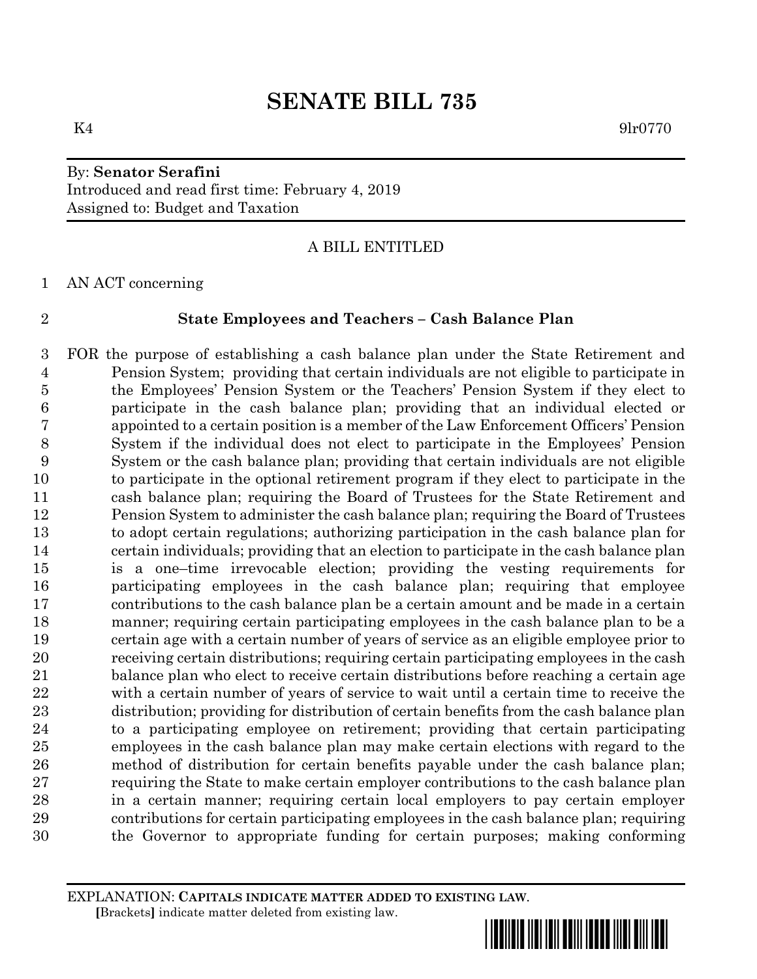# By: **Senator Serafini** Introduced and read first time: February 4, 2019 Assigned to: Budget and Taxation

## A BILL ENTITLED

AN ACT concerning

## **State Employees and Teachers – Cash Balance Plan**

 FOR the purpose of establishing a cash balance plan under the State Retirement and Pension System; providing that certain individuals are not eligible to participate in the Employees' Pension System or the Teachers' Pension System if they elect to participate in the cash balance plan; providing that an individual elected or appointed to a certain position is a member of the Law Enforcement Officers' Pension System if the individual does not elect to participate in the Employees' Pension System or the cash balance plan; providing that certain individuals are not eligible to participate in the optional retirement program if they elect to participate in the cash balance plan; requiring the Board of Trustees for the State Retirement and Pension System to administer the cash balance plan; requiring the Board of Trustees to adopt certain regulations; authorizing participation in the cash balance plan for certain individuals; providing that an election to participate in the cash balance plan is a one–time irrevocable election; providing the vesting requirements for participating employees in the cash balance plan; requiring that employee contributions to the cash balance plan be a certain amount and be made in a certain manner; requiring certain participating employees in the cash balance plan to be a certain age with a certain number of years of service as an eligible employee prior to receiving certain distributions; requiring certain participating employees in the cash balance plan who elect to receive certain distributions before reaching a certain age with a certain number of years of service to wait until a certain time to receive the distribution; providing for distribution of certain benefits from the cash balance plan to a participating employee on retirement; providing that certain participating employees in the cash balance plan may make certain elections with regard to the method of distribution for certain benefits payable under the cash balance plan; requiring the State to make certain employer contributions to the cash balance plan in a certain manner; requiring certain local employers to pay certain employer contributions for certain participating employees in the cash balance plan; requiring the Governor to appropriate funding for certain purposes; making conforming

EXPLANATION: **CAPITALS INDICATE MATTER ADDED TO EXISTING LAW**.  **[**Brackets**]** indicate matter deleted from existing law.

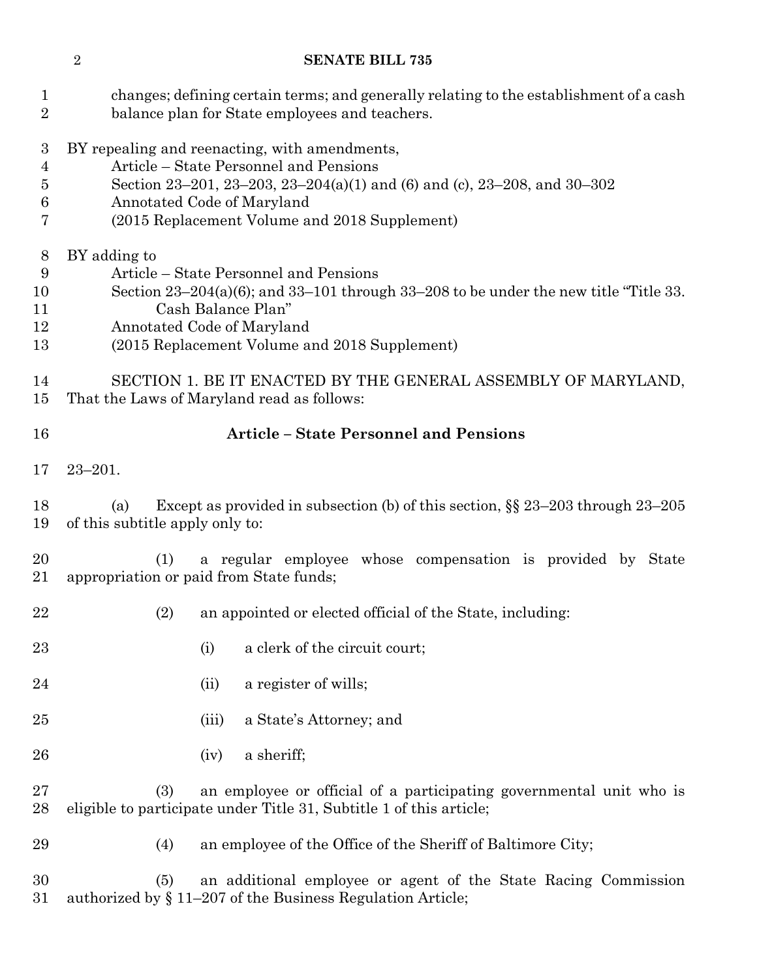| $\mathbf{1}$<br>$\overline{2}$                      | changes; defining certain terms; and generally relating to the establishment of a cash<br>balance plan for State employees and teachers.                                                                                                                   |  |  |  |
|-----------------------------------------------------|------------------------------------------------------------------------------------------------------------------------------------------------------------------------------------------------------------------------------------------------------------|--|--|--|
| 3<br>$\overline{4}$<br>$\overline{5}$<br>$\,6$<br>7 | BY repealing and reenacting, with amendments,<br>Article - State Personnel and Pensions<br>Section 23-201, 23-203, 23-204(a)(1) and (6) and (c), 23-208, and 30-302<br>Annotated Code of Maryland<br>(2015 Replacement Volume and 2018 Supplement)         |  |  |  |
| 8<br>9<br>10<br>11<br>12<br>13                      | BY adding to<br>Article – State Personnel and Pensions<br>Section $23-204(a)(6)$ ; and $33-101$ through $33-208$ to be under the new title "Title 33.<br>Cash Balance Plan"<br>Annotated Code of Maryland<br>(2015 Replacement Volume and 2018 Supplement) |  |  |  |
| 14<br>15                                            | SECTION 1. BE IT ENACTED BY THE GENERAL ASSEMBLY OF MARYLAND,<br>That the Laws of Maryland read as follows:                                                                                                                                                |  |  |  |
| 16                                                  | <b>Article - State Personnel and Pensions</b>                                                                                                                                                                                                              |  |  |  |
| 17                                                  | $23 - 201.$                                                                                                                                                                                                                                                |  |  |  |
| 18<br>19                                            | Except as provided in subsection (b) of this section, $\S$ 23–203 through 23–205<br>(a)<br>of this subtitle apply only to:                                                                                                                                 |  |  |  |
| 20<br>21                                            | (1)<br>a regular employee whose compensation is provided by State<br>appropriation or paid from State funds;                                                                                                                                               |  |  |  |
| 22                                                  | (2)<br>an appointed or elected official of the State, including:                                                                                                                                                                                           |  |  |  |
| 23                                                  | a clerk of the circuit court;<br>(i)                                                                                                                                                                                                                       |  |  |  |
| 24                                                  | a register of wills;<br>(ii)                                                                                                                                                                                                                               |  |  |  |
| 25                                                  | a State's Attorney; and<br>(iii)                                                                                                                                                                                                                           |  |  |  |
| 26                                                  | a sheriff;<br>(iv)                                                                                                                                                                                                                                         |  |  |  |
| 27<br>28                                            | an employee or official of a participating governmental unit who is<br>(3)<br>eligible to participate under Title 31, Subtitle 1 of this article;                                                                                                          |  |  |  |
| 29                                                  | an employee of the Office of the Sheriff of Baltimore City;<br>(4)                                                                                                                                                                                         |  |  |  |
| 30<br>31                                            | an additional employee or agent of the State Racing Commission<br>(5)<br>authorized by $\S 11-207$ of the Business Regulation Article;                                                                                                                     |  |  |  |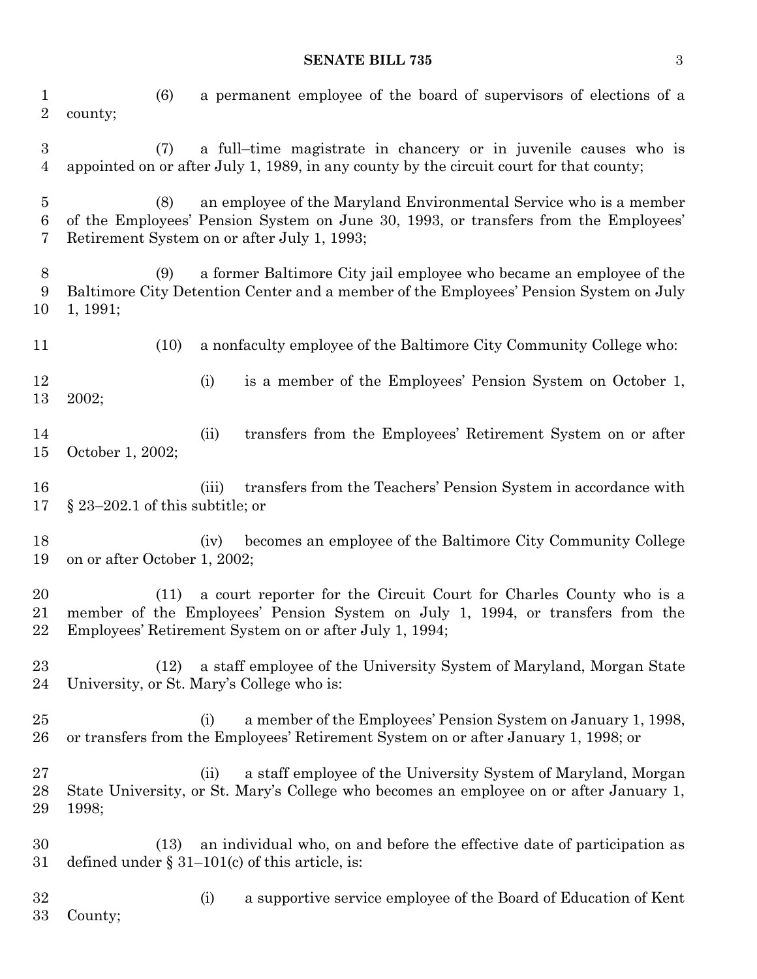## **SENATE BILL 735** 3

| $\mathbf 1$<br>$\overline{2}$           | a permanent employee of the board of supervisors of elections of a<br>(6)<br>county;                                                                                                                                   |  |  |
|-----------------------------------------|------------------------------------------------------------------------------------------------------------------------------------------------------------------------------------------------------------------------|--|--|
| $\boldsymbol{3}$<br>4                   | a full-time magistrate in chancery or in juvenile causes who is<br>(7)<br>appointed on or after July 1, 1989, in any county by the circuit court for that county;                                                      |  |  |
| $\overline{5}$<br>$\boldsymbol{6}$<br>7 | an employee of the Maryland Environmental Service who is a member<br>(8)<br>of the Employees' Pension System on June 30, 1993, or transfers from the Employees'<br>Retirement System on or after July 1, 1993;         |  |  |
| $8\,$<br>9<br>10                        | a former Baltimore City jail employee who became an employee of the<br>(9)<br>Baltimore City Detention Center and a member of the Employees' Pension System on July<br>1, 1991;                                        |  |  |
| 11                                      | a nonfaculty employee of the Baltimore City Community College who:<br>(10)                                                                                                                                             |  |  |
| 12<br>13                                | is a member of the Employees' Pension System on October 1,<br>(i)<br>2002;                                                                                                                                             |  |  |
| 14<br>15                                | (ii)<br>transfers from the Employees' Retirement System on or after<br>October 1, 2002;                                                                                                                                |  |  |
| 16<br>17                                | transfers from the Teachers' Pension System in accordance with<br>(iii)<br>$\S 23-202.1$ of this subtitle; or                                                                                                          |  |  |
| 18<br>19                                | becomes an employee of the Baltimore City Community College<br>(iv)<br>on or after October 1, 2002;                                                                                                                    |  |  |
| 20<br>21<br>22                          | a court reporter for the Circuit Court for Charles County who is a<br>(11)<br>member of the Employees' Pension System on July 1, 1994, or transfers from the<br>Employees' Retirement System on or after July 1, 1994; |  |  |
| 23<br>24                                | a staff employee of the University System of Maryland, Morgan State<br>(12)<br>University, or St. Mary's College who is:                                                                                               |  |  |
| 25<br>26                                | a member of the Employees' Pension System on January 1, 1998,<br>(i)<br>or transfers from the Employees' Retirement System on or after January 1, 1998; or                                                             |  |  |
| 27<br>28<br>29                          | a staff employee of the University System of Maryland, Morgan<br>(ii)<br>State University, or St. Mary's College who becomes an employee on or after January 1,<br>1998;                                               |  |  |
| 30<br>31                                | an individual who, on and before the effective date of participation as<br>(13)<br>defined under $\S 31-101(c)$ of this article, is:                                                                                   |  |  |
| 32<br>33                                | a supportive service employee of the Board of Education of Kent<br>(i)<br>County;                                                                                                                                      |  |  |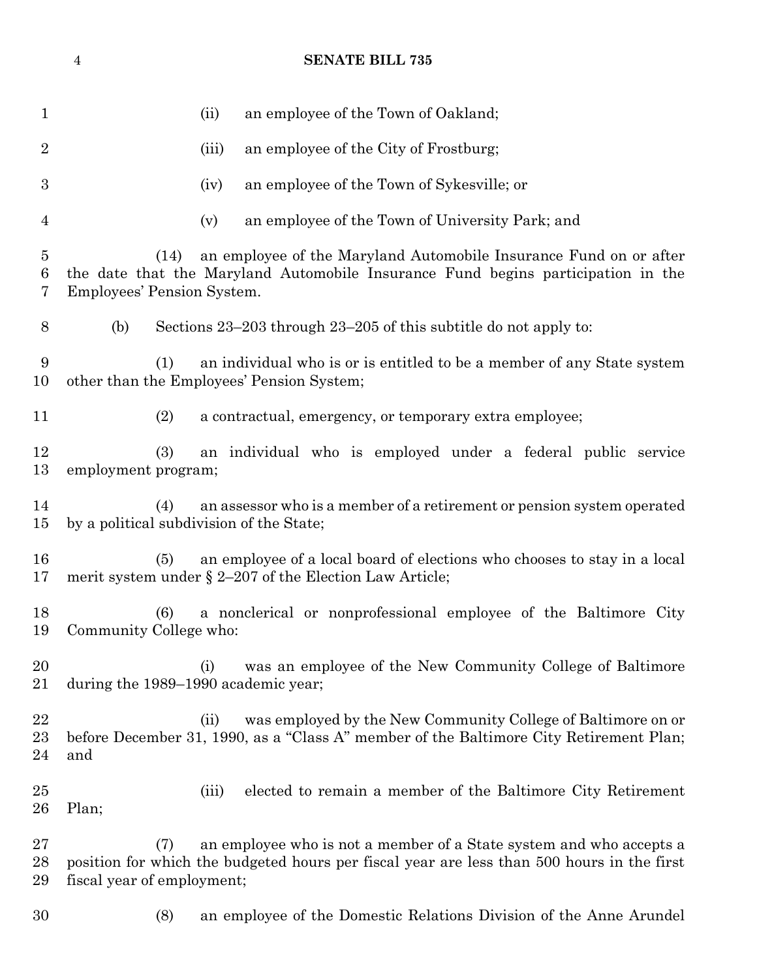| 1                        |                                                                                                                                                                                             | an employee of the Town of Oakland;<br>(ii)                                                                                                                       |  |
|--------------------------|---------------------------------------------------------------------------------------------------------------------------------------------------------------------------------------------|-------------------------------------------------------------------------------------------------------------------------------------------------------------------|--|
| $\overline{2}$           |                                                                                                                                                                                             | an employee of the City of Frostburg;<br>(iii)                                                                                                                    |  |
| 3                        |                                                                                                                                                                                             | an employee of the Town of Sykesville; or<br>(iv)                                                                                                                 |  |
| $\overline{4}$           |                                                                                                                                                                                             | an employee of the Town of University Park; and<br>(v)                                                                                                            |  |
| $\overline{5}$<br>6<br>7 | an employee of the Maryland Automobile Insurance Fund on or after<br>(14)<br>the date that the Maryland Automobile Insurance Fund begins participation in the<br>Employees' Pension System. |                                                                                                                                                                   |  |
| 8                        | (b)                                                                                                                                                                                         | Sections $23-203$ through $23-205$ of this subtitle do not apply to:                                                                                              |  |
| 9<br>10                  | (1)                                                                                                                                                                                         | an individual who is or is entitled to be a member of any State system<br>other than the Employees' Pension System;                                               |  |
| 11                       | (2)                                                                                                                                                                                         | a contractual, emergency, or temporary extra employee;                                                                                                            |  |
| 12<br>13                 | (3)<br>employment program;                                                                                                                                                                  | an individual who is employed under a federal public service                                                                                                      |  |
| 14<br>15                 | (4)<br>by a political subdivision of the State;                                                                                                                                             | an assessor who is a member of a retirement or pension system operated                                                                                            |  |
| 16<br>17                 | (5)                                                                                                                                                                                         | an employee of a local board of elections who chooses to stay in a local<br>merit system under $\S 2-207$ of the Election Law Article;                            |  |
| 18<br>19                 | (6)<br>Community College who:                                                                                                                                                               | a nonclerical or nonprofessional employee of the Baltimore City                                                                                                   |  |
| 20<br>21                 | during the 1989–1990 academic year;                                                                                                                                                         | was an employee of the New Community College of Baltimore<br>(i)                                                                                                  |  |
| 22<br>23<br>24           | and                                                                                                                                                                                         | was employed by the New Community College of Baltimore on or<br>(ii)<br>before December 31, 1990, as a "Class A" member of the Baltimore City Retirement Plan;    |  |
| $25\,$<br>26             | Plan;                                                                                                                                                                                       | elected to remain a member of the Baltimore City Retirement<br>(iii)                                                                                              |  |
| 27<br>28<br>29           | (7)<br>fiscal year of employment;                                                                                                                                                           | an employee who is not a member of a State system and who accepts a<br>position for which the budgeted hours per fiscal year are less than 500 hours in the first |  |
| 30                       | (8)                                                                                                                                                                                         | an employee of the Domestic Relations Division of the Anne Arundel                                                                                                |  |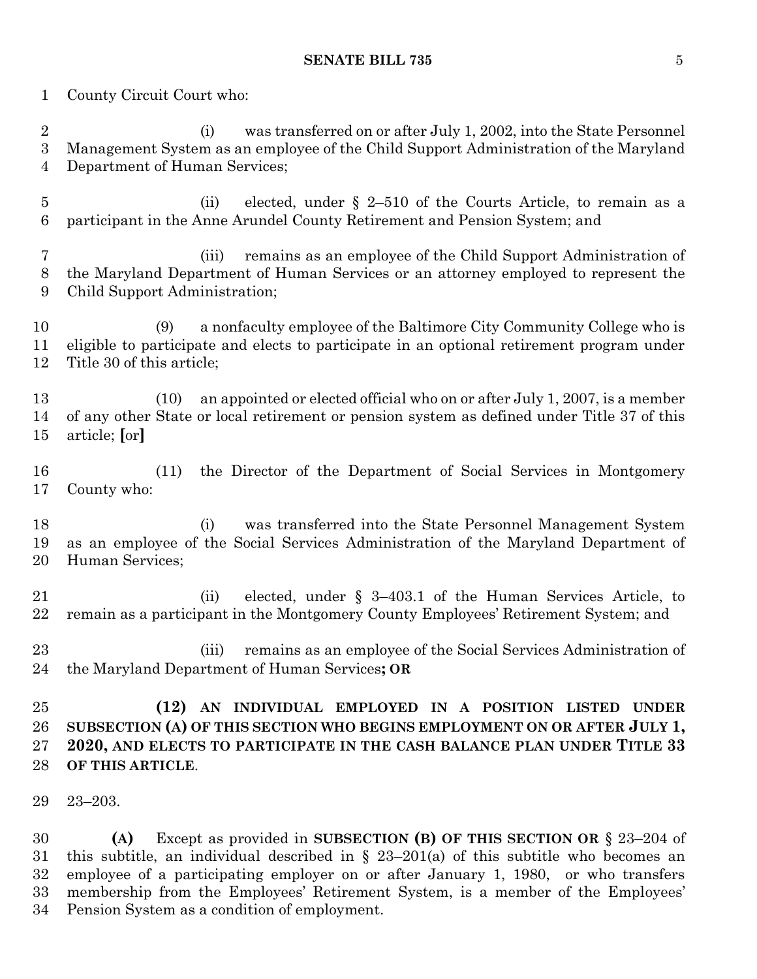## **SENATE BILL 735** 5

County Circuit Court who:

 (i) was transferred on or after July 1, 2002, into the State Personnel Management System as an employee of the Child Support Administration of the Maryland Department of Human Services;

- (ii) elected, under § 2–510 of the Courts Article, to remain as a participant in the Anne Arundel County Retirement and Pension System; and
- (iii) remains as an employee of the Child Support Administration of the Maryland Department of Human Services or an attorney employed to represent the Child Support Administration;
- (9) a nonfaculty employee of the Baltimore City Community College who is eligible to participate and elects to participate in an optional retirement program under Title 30 of this article;
- (10) an appointed or elected official who on or after July 1, 2007, is a member of any other State or local retirement or pension system as defined under Title 37 of this article; **[**or**]**
- (11) the Director of the Department of Social Services in Montgomery County who:
- (i) was transferred into the State Personnel Management System as an employee of the Social Services Administration of the Maryland Department of Human Services;
- (ii) elected, under § 3–403.1 of the Human Services Article, to remain as a participant in the Montgomery County Employees' Retirement System; and
- (iii) remains as an employee of the Social Services Administration of the Maryland Department of Human Services**; OR**
- **(12) AN INDIVIDUAL EMPLOYED IN A POSITION LISTED UNDER SUBSECTION (A) OF THIS SECTION WHO BEGINS EMPLOYMENT ON OR AFTER JULY 1, 2020, AND ELECTS TO PARTICIPATE IN THE CASH BALANCE PLAN UNDER TITLE 33 OF THIS ARTICLE**.
- 23–203.

 **(A)** Except as provided in **SUBSECTION (B) OF THIS SECTION OR** § 23–204 of 31 this subtitle, an individual described in  $\S$  23–201(a) of this subtitle who becomes an employee of a participating employer on or after January 1, 1980, or who transfers membership from the Employees' Retirement System, is a member of the Employees' Pension System as a condition of employment.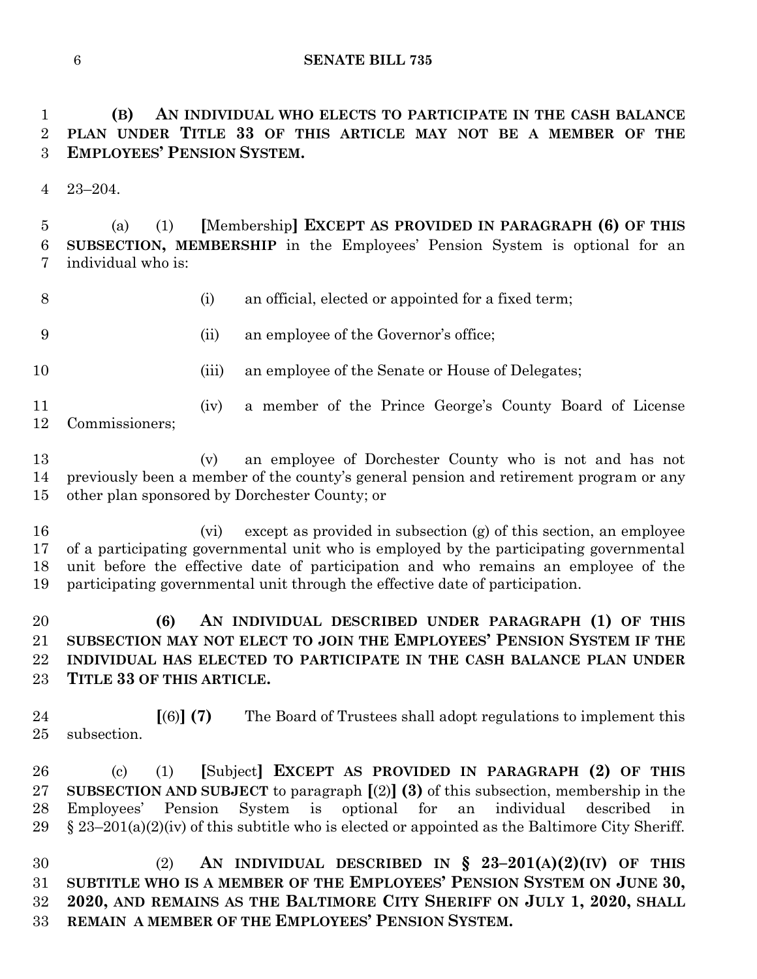**(B) AN INDIVIDUAL WHO ELECTS TO PARTICIPATE IN THE CASH BALANCE PLAN UNDER TITLE 33 OF THIS ARTICLE MAY NOT BE A MEMBER OF THE EMPLOYEES' PENSION SYSTEM.**

23–204.

 (a) (1) **[**Membership**] EXCEPT AS PROVIDED IN PARAGRAPH (6) OF THIS SUBSECTION, MEMBERSHIP** in the Employees' Pension System is optional for an individual who is:

- 
- (i) an official, elected or appointed for a fixed term;
- 
- (ii) an employee of the Governor's office;
- 
- 10 (iii) an employee of the Senate or House of Delegates;
- (iv) a member of the Prince George's County Board of License Commissioners;

 (v) an employee of Dorchester County who is not and has not previously been a member of the county's general pension and retirement program or any other plan sponsored by Dorchester County; or

 (vi) except as provided in subsection (g) of this section, an employee of a participating governmental unit who is employed by the participating governmental unit before the effective date of participation and who remains an employee of the participating governmental unit through the effective date of participation.

 **(6) AN INDIVIDUAL DESCRIBED UNDER PARAGRAPH (1) OF THIS SUBSECTION MAY NOT ELECT TO JOIN THE EMPLOYEES' PENSION SYSTEM IF THE INDIVIDUAL HAS ELECTED TO PARTICIPATE IN THE CASH BALANCE PLAN UNDER TITLE 33 OF THIS ARTICLE.**

 **[**(6)**] (7)** The Board of Trustees shall adopt regulations to implement this subsection.

 (c) (1) **[**Subject**] EXCEPT AS PROVIDED IN PARAGRAPH (2) OF THIS SUBSECTION AND SUBJECT** to paragraph **[**(2)**] (3)** of this subsection, membership in the Employees' Pension System is optional for an individual described in 29 § 23–201(a)(2)(iv) of this subtitle who is elected or appointed as the Baltimore City Sheriff.

 (2) **AN INDIVIDUAL DESCRIBED IN § 23–201(A)(2)(IV) OF THIS SUBTITLE WHO IS A MEMBER OF THE EMPLOYEES' PENSION SYSTEM ON JUNE 30, 2020, AND REMAINS AS THE BALTIMORE CITY SHERIFF ON JULY 1, 2020, SHALL REMAIN A MEMBER OF THE EMPLOYEES' PENSION SYSTEM.**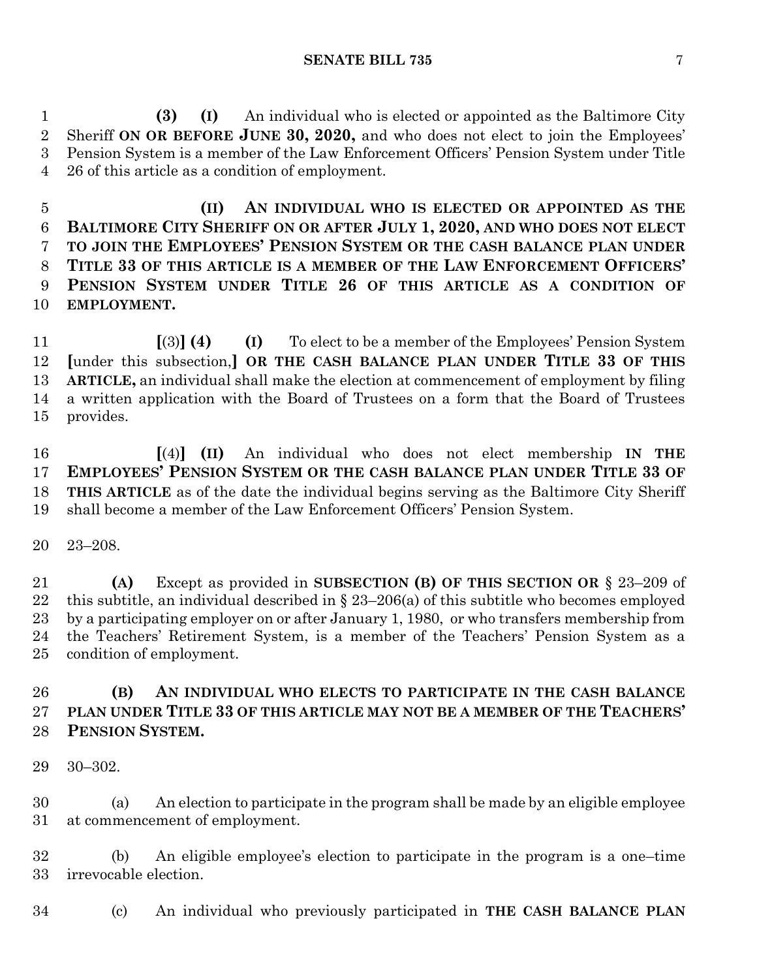**(3) (I)** An individual who is elected or appointed as the Baltimore City Sheriff **ON OR BEFORE JUNE 30, 2020,** and who does not elect to join the Employees' Pension System is a member of the Law Enforcement Officers' Pension System under Title 26 of this article as a condition of employment.

 **(II) AN INDIVIDUAL WHO IS ELECTED OR APPOINTED AS THE BALTIMORE CITY SHERIFF ON OR AFTER JULY 1, 2020, AND WHO DOES NOT ELECT TO JOIN THE EMPLOYEES' PENSION SYSTEM OR THE CASH BALANCE PLAN UNDER TITLE 33 OF THIS ARTICLE IS A MEMBER OF THE LAW ENFORCEMENT OFFICERS' PENSION SYSTEM UNDER TITLE 26 OF THIS ARTICLE AS A CONDITION OF EMPLOYMENT.**

 **[**(3)**] (4) (I)** To elect to be a member of the Employees' Pension System **[**under this subsection,**] OR THE CASH BALANCE PLAN UNDER TITLE 33 OF THIS ARTICLE,** an individual shall make the election at commencement of employment by filing a written application with the Board of Trustees on a form that the Board of Trustees provides.

 **[**(4)**] (II)** An individual who does not elect membership **IN THE EMPLOYEES' PENSION SYSTEM OR THE CASH BALANCE PLAN UNDER TITLE 33 OF THIS ARTICLE** as of the date the individual begins serving as the Baltimore City Sheriff shall become a member of the Law Enforcement Officers' Pension System.

23–208.

 **(A)** Except as provided in **SUBSECTION (B) OF THIS SECTION OR** § 23–209 of 22 this subtitle, an individual described in  $\S 23-206(a)$  of this subtitle who becomes employed by a participating employer on or after January 1, 1980, or who transfers membership from the Teachers' Retirement System, is a member of the Teachers' Pension System as a condition of employment.

## **(B) AN INDIVIDUAL WHO ELECTS TO PARTICIPATE IN THE CASH BALANCE PLAN UNDER TITLE 33 OF THIS ARTICLE MAY NOT BE A MEMBER OF THE TEACHERS' PENSION SYSTEM.**

30–302.

 (a) An election to participate in the program shall be made by an eligible employee at commencement of employment.

 (b) An eligible employee's election to participate in the program is a one–time irrevocable election.

(c) An individual who previously participated in **THE CASH BALANCE PLAN**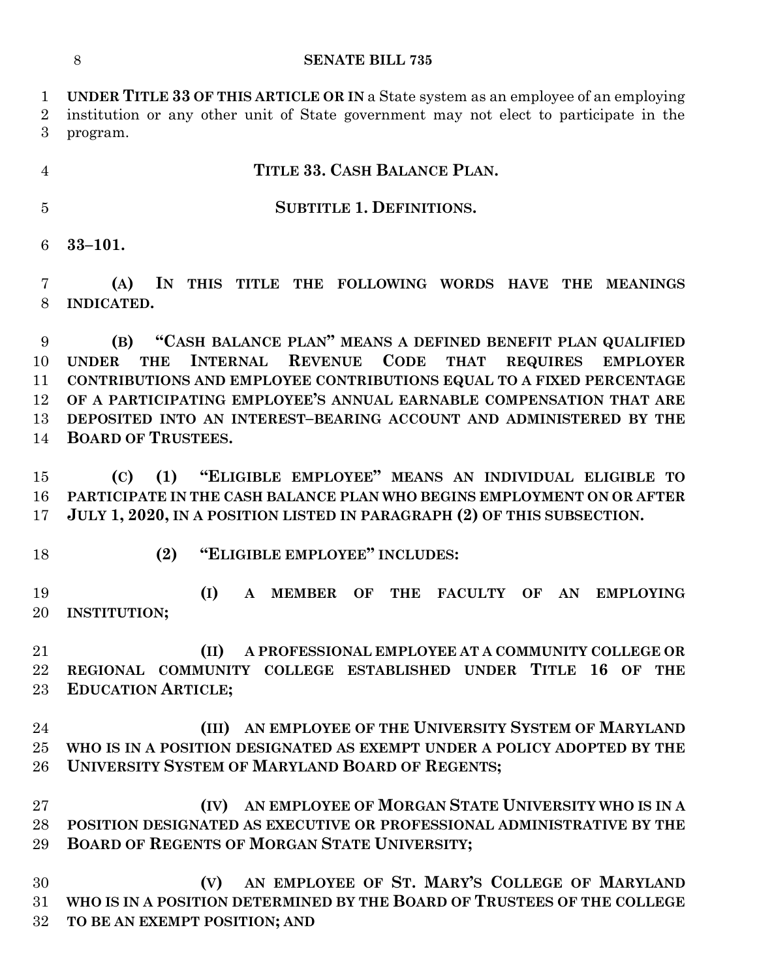**UNDER TITLE 33 OF THIS ARTICLE OR IN** a State system as an employee of an employing institution or any other unit of State government may not elect to participate in the program.

## **TITLE 33. CASH BALANCE PLAN.**

## **SUBTITLE 1. DEFINITIONS.**

**33–101.**

 **(A) IN THIS TITLE THE FOLLOWING WORDS HAVE THE MEANINGS INDICATED.**

 **(B) "CASH BALANCE PLAN" MEANS A DEFINED BENEFIT PLAN QUALIFIED UNDER THE INTERNAL REVENUE CODE THAT REQUIRES EMPLOYER CONTRIBUTIONS AND EMPLOYEE CONTRIBUTIONS EQUAL TO A FIXED PERCENTAGE OF A PARTICIPATING EMPLOYEE'S ANNUAL EARNABLE COMPENSATION THAT ARE DEPOSITED INTO AN INTEREST–BEARING ACCOUNT AND ADMINISTERED BY THE BOARD OF TRUSTEES.**

 **(C) (1) "ELIGIBLE EMPLOYEE" MEANS AN INDIVIDUAL ELIGIBLE TO PARTICIPATE IN THE CASH BALANCE PLAN WHO BEGINS EMPLOYMENT ON OR AFTER JULY 1, 2020, IN A POSITION LISTED IN PARAGRAPH (2) OF THIS SUBSECTION.**

- 
- **(2) "ELIGIBLE EMPLOYEE" INCLUDES:**

 **(I) A MEMBER OF THE FACULTY OF AN EMPLOYING INSTITUTION;**

 **(II) A PROFESSIONAL EMPLOYEE AT A COMMUNITY COLLEGE OR REGIONAL COMMUNITY COLLEGE ESTABLISHED UNDER TITLE 16 OF THE EDUCATION ARTICLE;**

 **(III) AN EMPLOYEE OF THE UNIVERSITY SYSTEM OF MARYLAND WHO IS IN A POSITION DESIGNATED AS EXEMPT UNDER A POLICY ADOPTED BY THE UNIVERSITY SYSTEM OF MARYLAND BOARD OF REGENTS;**

 **(IV) AN EMPLOYEE OF MORGAN STATE UNIVERSITY WHO IS IN A POSITION DESIGNATED AS EXECUTIVE OR PROFESSIONAL ADMINISTRATIVE BY THE BOARD OF REGENTS OF MORGAN STATE UNIVERSITY;**

 **(V) AN EMPLOYEE OF ST. MARY'S COLLEGE OF MARYLAND WHO IS IN A POSITION DETERMINED BY THE BOARD OF TRUSTEES OF THE COLLEGE TO BE AN EXEMPT POSITION; AND**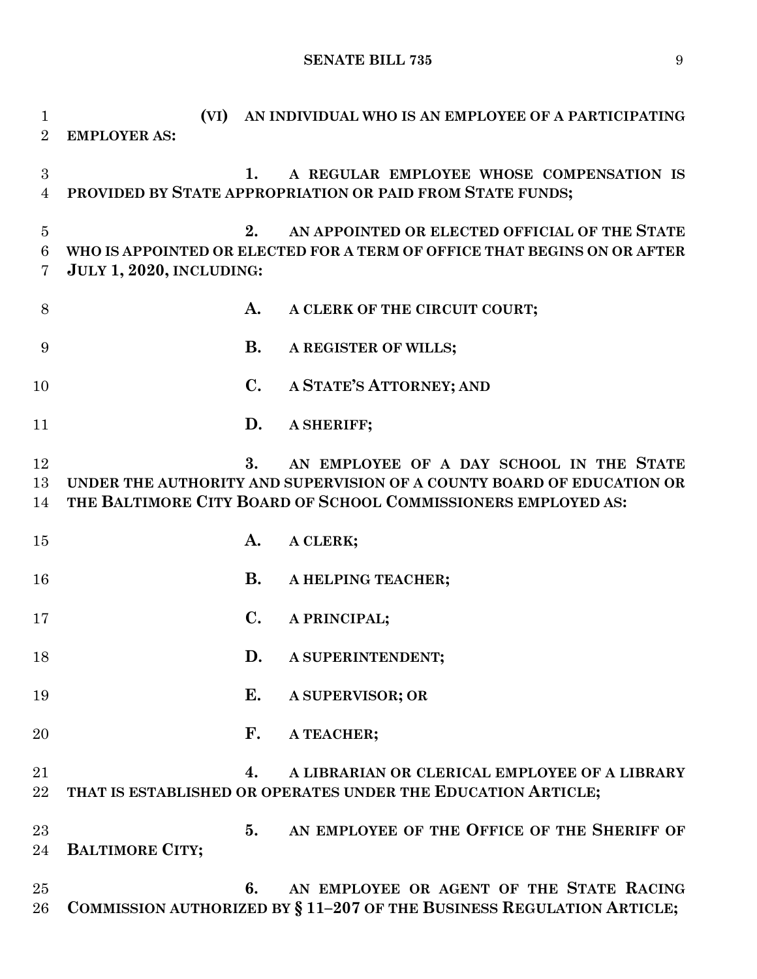**SENATE BILL 735** 9

 **(VI) AN INDIVIDUAL WHO IS AN EMPLOYEE OF A PARTICIPATING EMPLOYER AS: 1. A REGULAR EMPLOYEE WHOSE COMPENSATION IS PROVIDED BY STATE APPROPRIATION OR PAID FROM STATE FUNDS; 2. AN APPOINTED OR ELECTED OFFICIAL OF THE STATE WHO IS APPOINTED OR ELECTED FOR A TERM OF OFFICE THAT BEGINS ON OR AFTER JULY 1, 2020, INCLUDING: A. A CLERK OF THE CIRCUIT COURT; B. A REGISTER OF WILLS; C. A STATE'S ATTORNEY; AND D. A SHERIFF; 3. AN EMPLOYEE OF A DAY SCHOOL IN THE STATE UNDER THE AUTHORITY AND SUPERVISION OF A COUNTY BOARD OF EDUCATION OR THE BALTIMORE CITY BOARD OF SCHOOL COMMISSIONERS EMPLOYED AS: A. A CLERK; B. A HELPING TEACHER; C. A PRINCIPAL; D. A SUPERINTENDENT; E. A SUPERVISOR; OR F. A TEACHER; 4. A LIBRARIAN OR CLERICAL EMPLOYEE OF A LIBRARY THAT IS ESTABLISHED OR OPERATES UNDER THE EDUCATION ARTICLE; 5. AN EMPLOYEE OF THE OFFICE OF THE SHERIFF OF BALTIMORE CITY; 6. AN EMPLOYEE OR AGENT OF THE STATE RACING COMMISSION AUTHORIZED BY § 11–207 OF THE BUSINESS REGULATION ARTICLE;**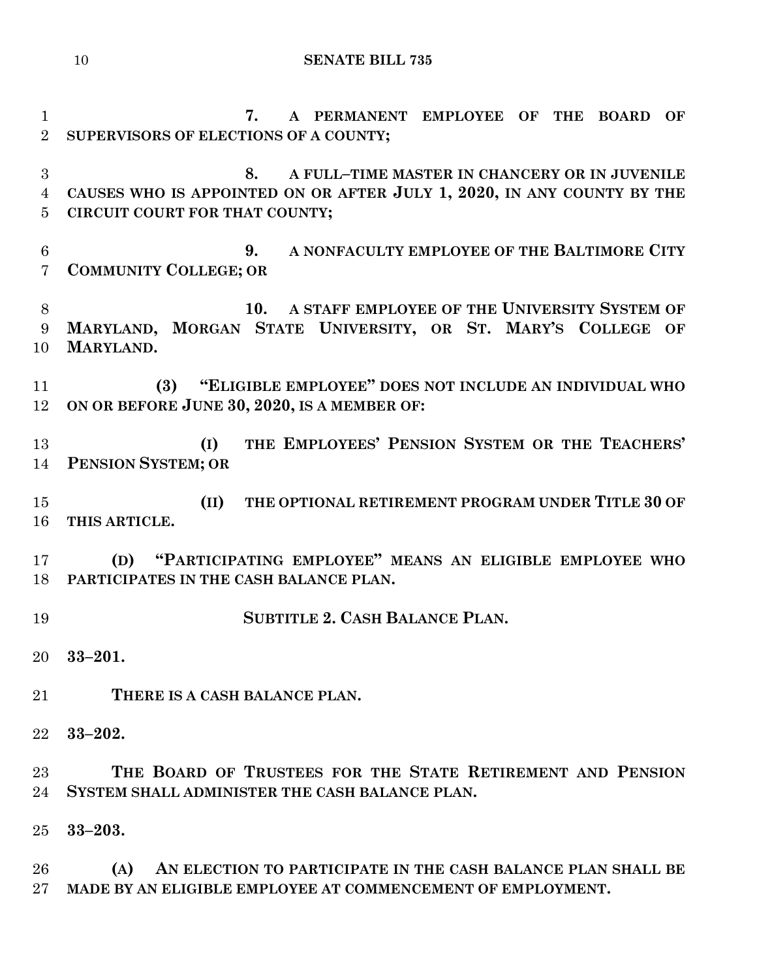```
10 SENATE BILL 735
```
 **7. A PERMANENT EMPLOYEE OF THE BOARD OF SUPERVISORS OF ELECTIONS OF A COUNTY; 8. A FULL–TIME MASTER IN CHANCERY OR IN JUVENILE CAUSES WHO IS APPOINTED ON OR AFTER JULY 1, 2020, IN ANY COUNTY BY THE CIRCUIT COURT FOR THAT COUNTY; 9. A NONFACULTY EMPLOYEE OF THE BALTIMORE CITY COMMUNITY COLLEGE; OR 10. A STAFF EMPLOYEE OF THE UNIVERSITY SYSTEM OF MARYLAND, MORGAN STATE UNIVERSITY, OR ST. MARY'S COLLEGE OF MARYLAND. (3) "ELIGIBLE EMPLOYEE" DOES NOT INCLUDE AN INDIVIDUAL WHO ON OR BEFORE JUNE 30, 2020, IS A MEMBER OF: (I) THE EMPLOYEES' PENSION SYSTEM OR THE TEACHERS' PENSION SYSTEM; OR (II) THE OPTIONAL RETIREMENT PROGRAM UNDER TITLE 30 OF THIS ARTICLE. (D) "PARTICIPATING EMPLOYEE" MEANS AN ELIGIBLE EMPLOYEE WHO PARTICIPATES IN THE CASH BALANCE PLAN. SUBTITLE 2. CASH BALANCE PLAN. 33–201. THERE IS A CASH BALANCE PLAN. 33–202. THE BOARD OF TRUSTEES FOR THE STATE RETIREMENT AND PENSION SYSTEM SHALL ADMINISTER THE CASH BALANCE PLAN. 33–203. (A) AN ELECTION TO PARTICIPATE IN THE CASH BALANCE PLAN SHALL BE MADE BY AN ELIGIBLE EMPLOYEE AT COMMENCEMENT OF EMPLOYMENT.**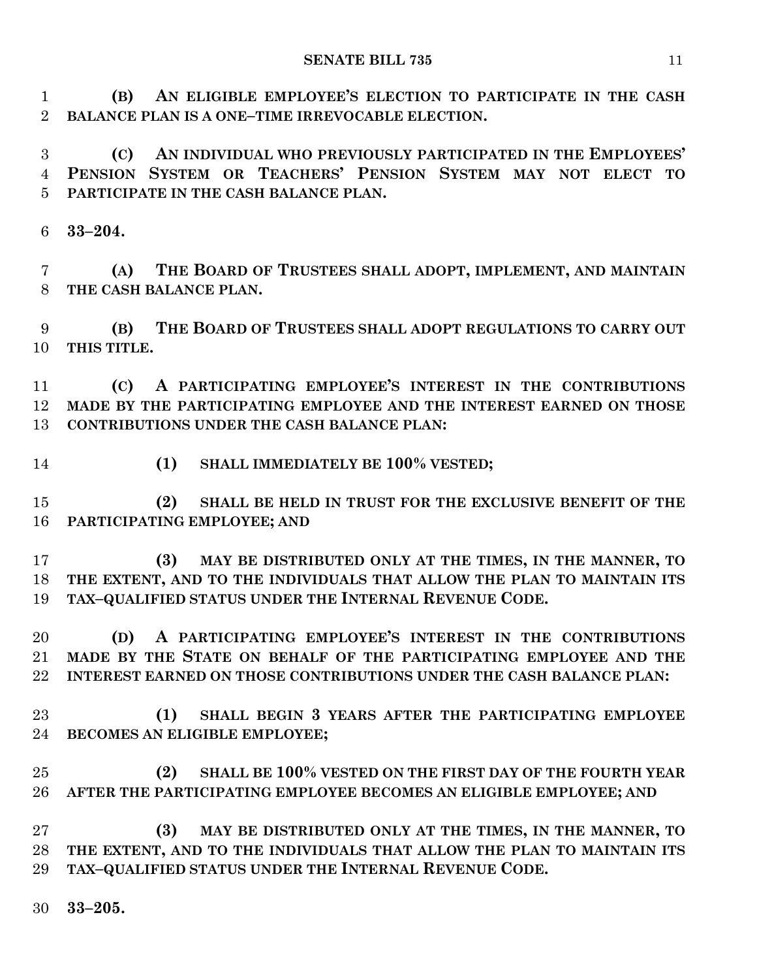**(B) AN ELIGIBLE EMPLOYEE'S ELECTION TO PARTICIPATE IN THE CASH BALANCE PLAN IS A ONE–TIME IRREVOCABLE ELECTION.**

 **(C) AN INDIVIDUAL WHO PREVIOUSLY PARTICIPATED IN THE EMPLOYEES' PENSION SYSTEM OR TEACHERS' PENSION SYSTEM MAY NOT ELECT TO PARTICIPATE IN THE CASH BALANCE PLAN.**

**33–204.**

 **(A) THE BOARD OF TRUSTEES SHALL ADOPT, IMPLEMENT, AND MAINTAIN THE CASH BALANCE PLAN.**

 **(B) THE BOARD OF TRUSTEES SHALL ADOPT REGULATIONS TO CARRY OUT THIS TITLE.**

 **(C) A PARTICIPATING EMPLOYEE'S INTEREST IN THE CONTRIBUTIONS MADE BY THE PARTICIPATING EMPLOYEE AND THE INTEREST EARNED ON THOSE CONTRIBUTIONS UNDER THE CASH BALANCE PLAN:**

**(1) SHALL IMMEDIATELY BE 100% VESTED;**

 **(2) SHALL BE HELD IN TRUST FOR THE EXCLUSIVE BENEFIT OF THE PARTICIPATING EMPLOYEE; AND**

 **(3) MAY BE DISTRIBUTED ONLY AT THE TIMES, IN THE MANNER, TO THE EXTENT, AND TO THE INDIVIDUALS THAT ALLOW THE PLAN TO MAINTAIN ITS TAX–QUALIFIED STATUS UNDER THE INTERNAL REVENUE CODE.**

 **(D) A PARTICIPATING EMPLOYEE'S INTEREST IN THE CONTRIBUTIONS MADE BY THE STATE ON BEHALF OF THE PARTICIPATING EMPLOYEE AND THE INTEREST EARNED ON THOSE CONTRIBUTIONS UNDER THE CASH BALANCE PLAN:**

- **(1) SHALL BEGIN 3 YEARS AFTER THE PARTICIPATING EMPLOYEE BECOMES AN ELIGIBLE EMPLOYEE;**
- **(2) SHALL BE 100% VESTED ON THE FIRST DAY OF THE FOURTH YEAR AFTER THE PARTICIPATING EMPLOYEE BECOMES AN ELIGIBLE EMPLOYEE; AND**

 **(3) MAY BE DISTRIBUTED ONLY AT THE TIMES, IN THE MANNER, TO THE EXTENT, AND TO THE INDIVIDUALS THAT ALLOW THE PLAN TO MAINTAIN ITS TAX–QUALIFIED STATUS UNDER THE INTERNAL REVENUE CODE.**

**33–205.**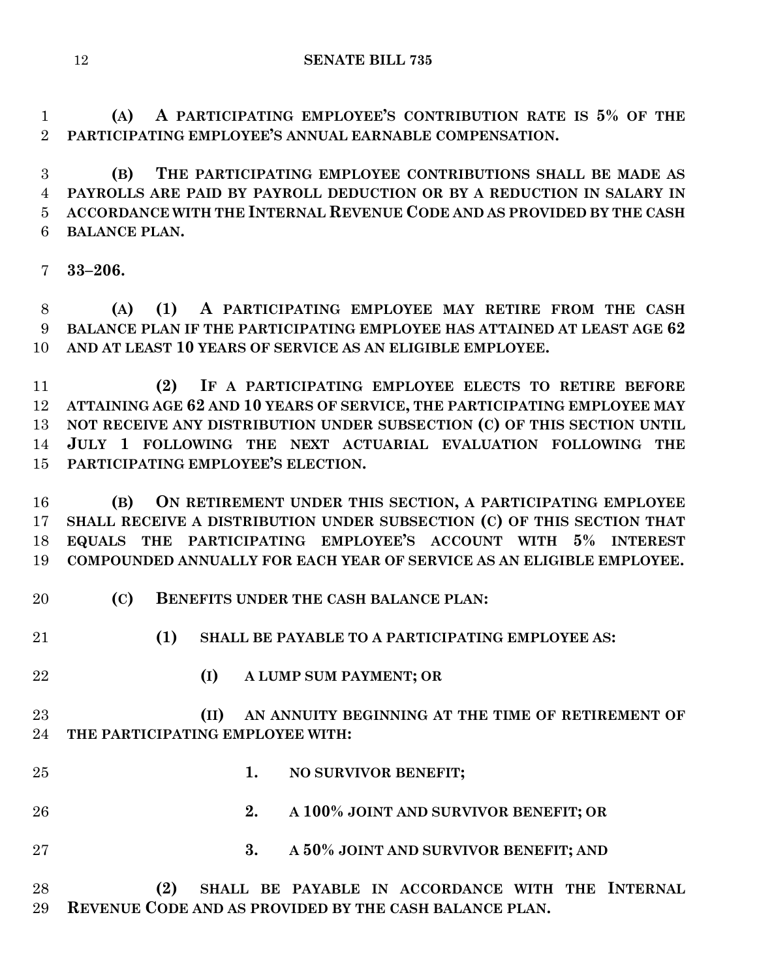**(A) A PARTICIPATING EMPLOYEE'S CONTRIBUTION RATE IS 5% OF THE PARTICIPATING EMPLOYEE'S ANNUAL EARNABLE COMPENSATION.**

 **(B) THE PARTICIPATING EMPLOYEE CONTRIBUTIONS SHALL BE MADE AS PAYROLLS ARE PAID BY PAYROLL DEDUCTION OR BY A REDUCTION IN SALARY IN ACCORDANCE WITH THE INTERNAL REVENUE CODE AND AS PROVIDED BY THE CASH BALANCE PLAN.**

**33–206.**

 **(A) (1) A PARTICIPATING EMPLOYEE MAY RETIRE FROM THE CASH BALANCE PLAN IF THE PARTICIPATING EMPLOYEE HAS ATTAINED AT LEAST AGE 62 AND AT LEAST 10 YEARS OF SERVICE AS AN ELIGIBLE EMPLOYEE.**

 **(2) IF A PARTICIPATING EMPLOYEE ELECTS TO RETIRE BEFORE ATTAINING AGE 62 AND 10 YEARS OF SERVICE, THE PARTICIPATING EMPLOYEE MAY NOT RECEIVE ANY DISTRIBUTION UNDER SUBSECTION (C) OF THIS SECTION UNTIL JULY 1 FOLLOWING THE NEXT ACTUARIAL EVALUATION FOLLOWING THE PARTICIPATING EMPLOYEE'S ELECTION.**

 **(B) ON RETIREMENT UNDER THIS SECTION, A PARTICIPATING EMPLOYEE SHALL RECEIVE A DISTRIBUTION UNDER SUBSECTION (C) OF THIS SECTION THAT EQUALS THE PARTICIPATING EMPLOYEE'S ACCOUNT WITH 5% INTEREST COMPOUNDED ANNUALLY FOR EACH YEAR OF SERVICE AS AN ELIGIBLE EMPLOYEE.**

- **(C) BENEFITS UNDER THE CASH BALANCE PLAN:**
- 

**(1) SHALL BE PAYABLE TO A PARTICIPATING EMPLOYEE AS:**

- - **(I) A LUMP SUM PAYMENT; OR**
	- **(II) AN ANNUITY BEGINNING AT THE TIME OF RETIREMENT OF THE PARTICIPATING EMPLOYEE WITH:**
- **1. NO SURVIVOR BENEFIT;**
- **2. A 100% JOINT AND SURVIVOR BENEFIT; OR**
- **3. A 50% JOINT AND SURVIVOR BENEFIT; AND**
- **(2) SHALL BE PAYABLE IN ACCORDANCE WITH THE INTERNAL REVENUE CODE AND AS PROVIDED BY THE CASH BALANCE PLAN.**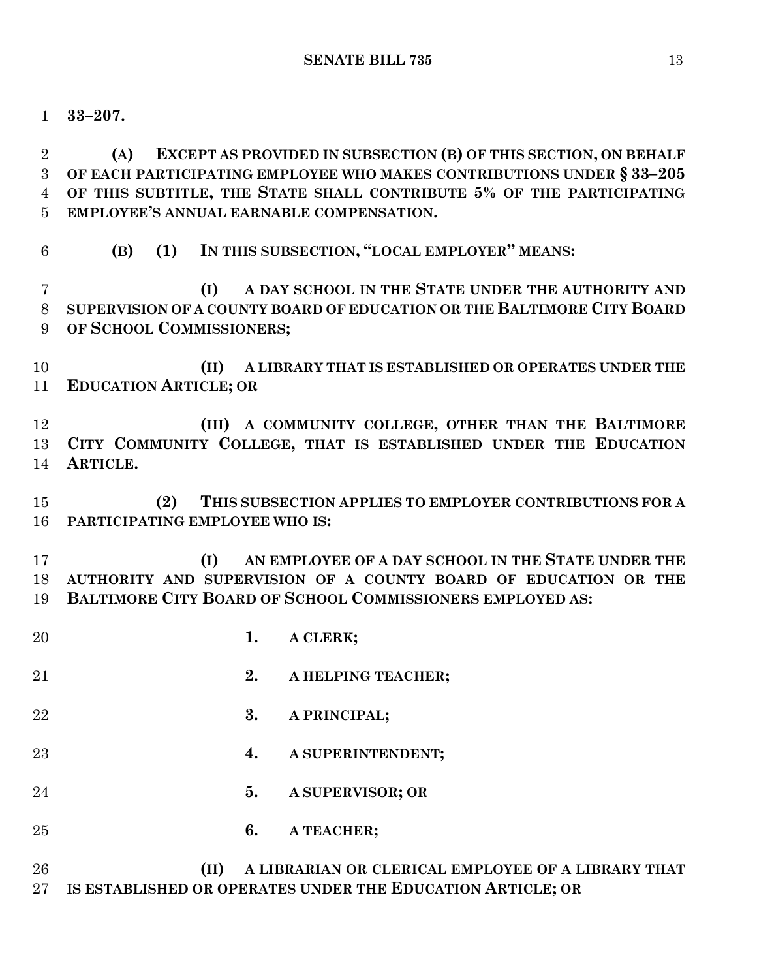**33–207.**

 **(A) EXCEPT AS PROVIDED IN SUBSECTION (B) OF THIS SECTION, ON BEHALF OF EACH PARTICIPATING EMPLOYEE WHO MAKES CONTRIBUTIONS UNDER § 33–205 OF THIS SUBTITLE, THE STATE SHALL CONTRIBUTE 5% OF THE PARTICIPATING EMPLOYEE'S ANNUAL EARNABLE COMPENSATION.**

**(B) (1) IN THIS SUBSECTION, "LOCAL EMPLOYER" MEANS:**

 **(I) A DAY SCHOOL IN THE STATE UNDER THE AUTHORITY AND SUPERVISION OF A COUNTY BOARD OF EDUCATION OR THE BALTIMORE CITY BOARD OF SCHOOL COMMISSIONERS;**

 **(II) A LIBRARY THAT IS ESTABLISHED OR OPERATES UNDER THE EDUCATION ARTICLE; OR**

 **(III) A COMMUNITY COLLEGE, OTHER THAN THE BALTIMORE CITY COMMUNITY COLLEGE, THAT IS ESTABLISHED UNDER THE EDUCATION ARTICLE.**

 **(2) THIS SUBSECTION APPLIES TO EMPLOYER CONTRIBUTIONS FOR A PARTICIPATING EMPLOYEE WHO IS:**

 **(I) AN EMPLOYEE OF A DAY SCHOOL IN THE STATE UNDER THE AUTHORITY AND SUPERVISION OF A COUNTY BOARD OF EDUCATION OR THE BALTIMORE CITY BOARD OF SCHOOL COMMISSIONERS EMPLOYED AS:**

- **1. A CLERK;**
- **2. A HELPING TEACHER;**
- **3. A PRINCIPAL;**
- **4. A SUPERINTENDENT;**
- **5. A SUPERVISOR; OR**
- **6. A TEACHER;**

# **(II) A LIBRARIAN OR CLERICAL EMPLOYEE OF A LIBRARY THAT IS ESTABLISHED OR OPERATES UNDER THE EDUCATION ARTICLE; OR**